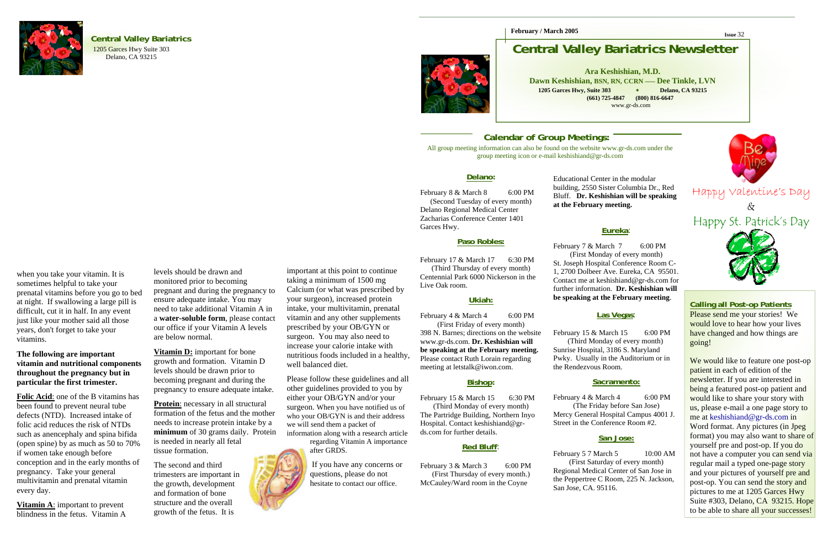

### **Central Valley Bariatrics**

1205 Garces Hwy Suite 303 Delano, CA 93215



**February / March 2005**

Educational Center in the modular **at the February meeting.** 

building, 2550 Sister Columbia Dr., Red Bluff. **Dr. Keshishian will be speaking** 



**Eureka**:

February 7 & March 7 6:00 PM (First Monday of every month) St. Joseph Hospital Conference Room C-1, 2700 Dolbeer Ave. Eureka, CA 95501. Contact me at keshishiand@gr-ds.com for further information. **Dr. Keshishian will be speaking at the February meeting**.

February 15 & March 15 6:00 PM (Third Monday of every month) Sunrise Hospital, 3186 S. Maryland Pwky. Usually in the Auditorium or in the Rendezvous Room.

February 4 & March 4 6:00 PM (The Friday before San Jose) Mercy General Hospital Campus 4001 J. Street in the Conference Room #2.

February 5 7 March 5 10:00 AM (First Saturday of every month) Regional Medical Center of San Jose in the Peppertree C Room, 225 N. Jackson, San Jose, CA. 95116.

### **Las Vegas**:

### **Sacramento:**

### **San Jose:**

**Issue** 32

## **Central Valley Bariatrics Newsletter**

### **Calling all Post-op Patients**

February 8 & March 8 6:00 PM (Second Tuesday of every month) Delano Regional Medical Center Zacharias Conference Center 1401 Garces Hwy.

Please send me your stories! We would love to hear how your lives have changed and how things are going!

February 17 & March 17 6:30 PM (Third Thursday of every month) Centennial Park 6000 Nickerson in the Live Oak room.

February 4 & March 4 6:00 PM meeting at letstalk@iwon.com.

February 15 & March 15 6:30 PM (Third Monday of every month) The Partridge Building, Northern Inyo Hospital. Contact keshishiand@grds.com for further details.

February 3 & March 3 6:00 PM (First Thursday of every month.) McCauley/Ward room in the Coyne

We would like to feature one post-op patient in each of edition of the newsletter. If you are interested in being a featured post-op patient and would like to share your story with us, please e-mail a one page story to me at keshishiand@gr-ds.com in Word format. Any pictures (in Jpeg format) you may also want to share of yourself pre and post-op. If you do not have a computer you can send via regular mail a typed one-page story and your pictures of yourself pre and post-op. You can send the story and pictures to me at 1205 Garces Hwy Suite #303, Delano, CA 93215. Hope to be able to share all your successes!

**Ara Keshishian, M.D. Dawn Keshishian, BSN, RN, CCRN —– Dee Tinkle, LVN 1205 Garces Hwy, Suite 303 Delano, CA 93215 (661) 725-4847 (800) 816-6647**  www.gr-ds.com

#### **Delano:**

**Protein**: necessary in all structural formation of the fetus and the mother needs to increase protein intake by a **minimum** of 30 grams daily. Protein is needed in nearly all fetal tissue formation.

### **Paso Robles:**

### **Ukiah:**

(First Friday of every month) 398 N. Barnes; directions on the website www.gr-ds.com. **Dr. Keshishian will be speaking at the February meeting.**  Please contact Ruth Lorain regarding

#### **Bishop:**

Happy Valentine's Day  $\&$ 

### **Red Bluff**:

when you take your vitamin. It is sometimes helpful to take your prenatal vitamins before you go to bed at night. If swallowing a large pill is difficult, cut it in half. In any event just like your mother said all those years, don't forget to take your vitamins.

### **The following are important vitamin and nutritional components throughout the pregnancy but in particular the first trimester.**

**Folic Acid**: one of the B vitamins has been found to prevent neural tube defects (NTD). Increased intake of folic acid reduces the risk of NTDs such as anencephaly and spina bifida (open spine) by as much as 50 to 70% if women take enough before conception and in the early months of pregnancy. Take your general multivitamin and prenatal vitamin every day.

**Vitamin A**: important to prevent blindness in the fetus. Vitamin A

levels should be drawn and monitored prior to becoming pregnant and during the pregnancy to ensure adequate intake. You may need to take additional Vitamin A in <sup>a</sup>**water-soluble form**, please contact our office if your Vitamin A levels are below normal.

**Vitamin D:** important for bone growth and formation. Vitamin D levels should be drawn prior to becoming pregnant and during the pregnancy to ensure adequate intake.

The second and third trimesters are important in the growth, development and formation of bone structure and the overall growth of the fetus. It is

important at this point to continue taking a minimum of 1500 mg Calcium (or what was prescribed by your surgeon), increased protein intake, your multivitamin, prenatal vitamin and any other supplements prescribed by your OB/GYN or surgeon. You may also need to increase your calorie intake with nutritious foods included in a healthy, well balanced diet.

Please follow these guidelines and all other guidelines provided to you by either your OB/GYN and/or your surgeon. When you have notified us of who your OB/GYN is and their address we will send them a packet of information along with a research article

regarding Vitamin A importance after GRDS.

> If you have any concerns or questions, please do not hesitate to contact our office.

### **Calendar of Group Meetings:**

All group meeting information can also be found on the website www.gr-ds.com under the group meeting icon or e-mail keshishiand@gr-ds.com

Happy St. Patrick's Day